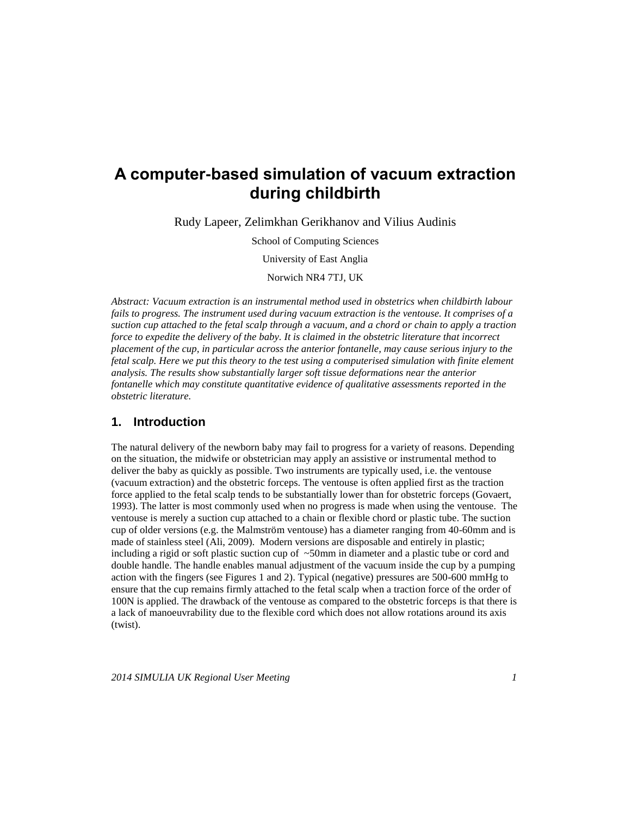# **A computer-based simulation of vacuum extraction during childbirth**

Rudy Lapeer, Zelimkhan Gerikhanov and Vilius Audinis

School of Computing Sciences

University of East Anglia

Norwich NR4 7TJ, UK

*Abstract: Vacuum extraction is an instrumental method used in obstetrics when childbirth labour fails to progress. The instrument used during vacuum extraction is the ventouse. It comprises of a suction cup attached to the fetal scalp through a vacuum, and a chord or chain to apply a traction force to expedite the delivery of the baby. It is claimed in the obstetric literature that incorrect placement of the cup, in particular across the anterior fontanelle, may cause serious injury to the fetal scalp. Here we put this theory to the test using a computerised simulation with finite element analysis. The results show substantially larger soft tissue deformations near the anterior fontanelle which may constitute quantitative evidence of qualitative assessments reported in the obstetric literature.*

## **1. Introduction**

The natural delivery of the newborn baby may fail to progress for a variety of reasons. Depending on the situation, the midwife or obstetrician may apply an assistive or instrumental method to deliver the baby as quickly as possible. Two instruments are typically used, i.e. the ventouse (vacuum extraction) and the obstetric forceps. The ventouse is often applied first as the traction force applied to the fetal scalp tends to be substantially lower than for obstetric forceps (Govaert, 1993). The latter is most commonly used when no progress is made when using the ventouse. The ventouse is merely a suction cup attached to a chain or flexible chord or plastic tube. The suction cup of older versions (e.g. the Malmström ventouse) has a diameter ranging from 40-60mm and is made of stainless steel (Ali, 2009). Modern versions are disposable and entirely in plastic; including a rigid or soft plastic suction cup of ~50mm in diameter and a plastic tube or cord and double handle. The handle enables manual adjustment of the vacuum inside the cup by a pumping action with the fingers (see Figures 1 and 2). Typical (negative) pressures are 500-600 mmHg to ensure that the cup remains firmly attached to the fetal scalp when a traction force of the order of 100N is applied. The drawback of the ventouse as compared to the obstetric forceps is that there is a lack of manoeuvrability due to the flexible cord which does not allow rotations around its axis (twist).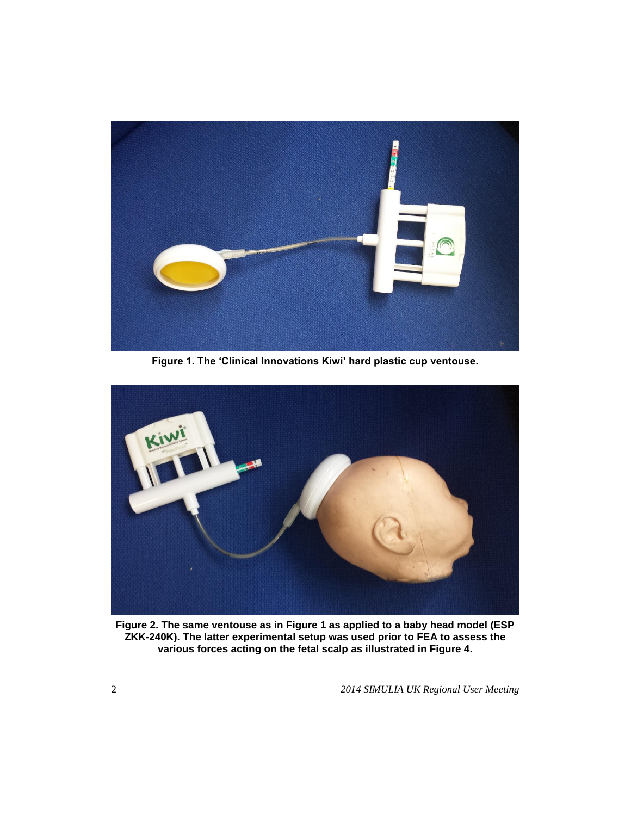

**Figure 1. The 'Clinical Innovations Kiwi' hard plastic cup ventouse.**



**Figure 2. The same ventouse as in Figure 1 as applied to a baby head model (ESP ZKK-240K). The latter experimental setup was used prior to FEA to assess the various forces acting on the fetal scalp as illustrated in Figure 4.**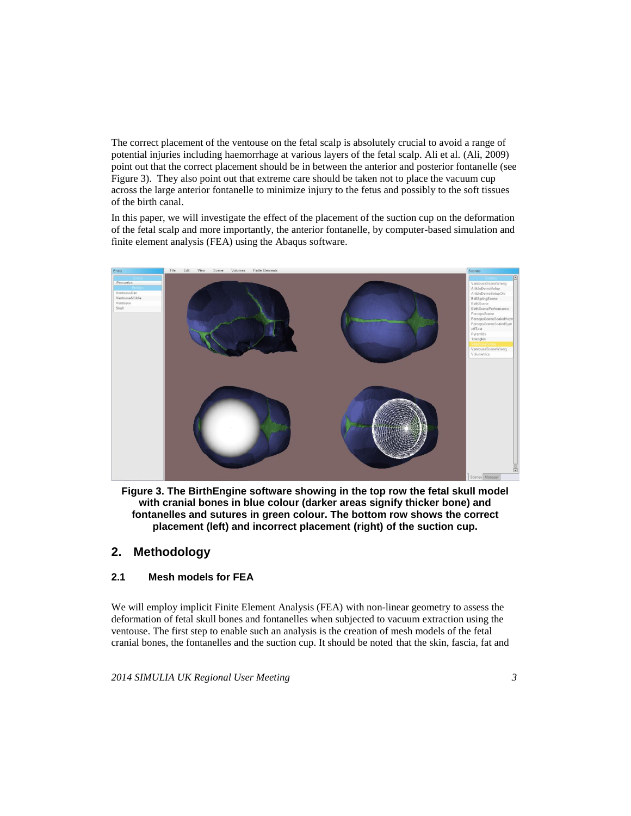The correct placement of the ventouse on the fetal scalp is absolutely crucial to avoid a range of potential injuries including haemorrhage at various layers of the fetal scalp. Ali et al. (Ali, 2009) point out that the correct placement should be in between the anterior and posterior fontanelle (see Figure 3). They also point out that extreme care should be taken not to place the vacuum cup across the large anterior fontanelle to minimize injury to the fetus and possibly to the soft tissues of the birth canal.

In this paper, we will investigate the effect of the placement of the suction cup on the deformation of the fetal scalp and more importantly, the anterior fontanelle, by computer-based simulation and finite element analysis (FEA) using the Abaqus software.



**Figure 3. The BirthEngine software showing in the top row the fetal skull model with cranial bones in blue colour (darker areas signify thicker bone) and fontanelles and sutures in green colour. The bottom row shows the correct placement (left) and incorrect placement (right) of the suction cup.**

# **2. Methodology**

#### **2.1 Mesh models for FEA**

We will employ implicit Finite Element Analysis (FEA) with non-linear geometry to assess the deformation of fetal skull bones and fontanelles when subjected to vacuum extraction using the ventouse. The first step to enable such an analysis is the creation of mesh models of the fetal cranial bones, the fontanelles and the suction cup. It should be noted that the skin, fascia, fat and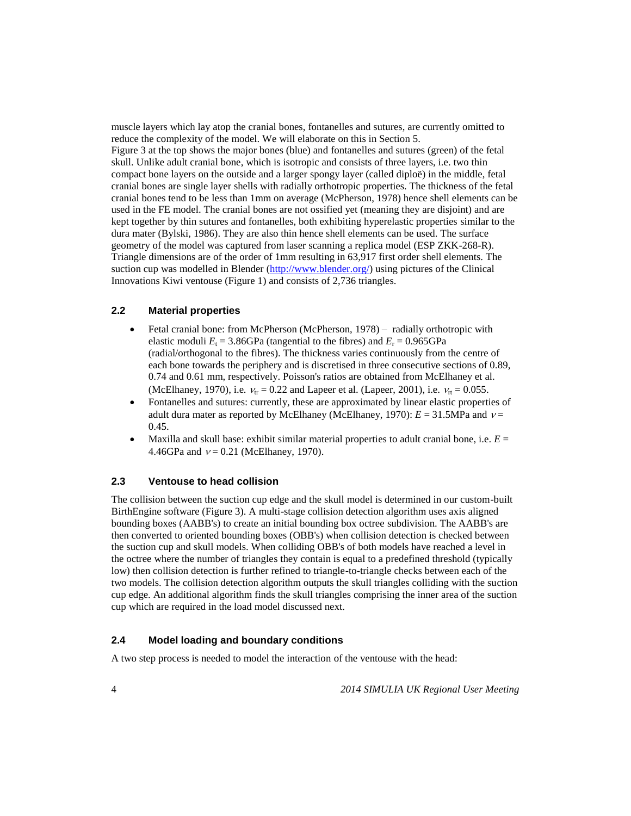muscle layers which lay atop the cranial bones, fontanelles and sutures, are currently omitted to reduce the complexity of the model. We will elaborate on this in Section 5. Figure 3 at the top shows the major bones (blue) and fontanelles and sutures (green) of the fetal skull. Unlike adult cranial bone, which is isotropic and consists of three layers, i.e. two thin compact bone layers on the outside and a larger spongy layer (called diploë) in the middle, fetal cranial bones are single layer shells with radially orthotropic properties. The thickness of the fetal cranial bones tend to be less than 1mm on average (McPherson, 1978) hence shell elements can be used in the FE model. The cranial bones are not ossified yet (meaning they are disjoint) and are kept together by thin sutures and fontanelles, both exhibiting hyperelastic properties similar to the dura mater (Bylski, 1986). They are also thin hence shell elements can be used. The surface geometry of the model was captured from laser scanning a replica model (ESP ZKK-268-R). Triangle dimensions are of the order of 1mm resulting in 63,917 first order shell elements. The suction cup was modelled in Blender [\(http://www.blender.org/\)](http://www.blender.org/) using pictures of the Clinical Innovations Kiwi ventouse (Figure 1) and consists of 2,736 triangles.

#### **2.2 Material properties**

- Fetal cranial bone: from McPherson (McPherson, 1978) radially orthotropic with elastic moduli  $E_t = 3.86$ GPa (tangential to the fibres) and  $E_r = 0.965$ GPa (radial/orthogonal to the fibres). The thickness varies continuously from the centre of each bone towards the periphery and is discretised in three consecutive sections of 0.89, 0.74 and 0.61 mm, respectively. Poisson's ratios are obtained from McElhaney et al. (McElhaney, 1970), i.e.  $v_{tr} = 0.22$  and Lapeer et al. (Lapeer, 2001), i.e.  $v_{rt} = 0.055$ .
- Fontanelles and sutures: currently, these are approximated by linear elastic properties of adult dura mater as reported by McElhaney (McElhaney, 1970):  $E = 31.5$ MPa and  $v =$ 0.45.
- Maxilla and skull base: exhibit similar material properties to adult cranial bone, i.e.  $E =$ 4.46GPa and  $v = 0.21$  (McElhaney, 1970).

#### **2.3 Ventouse to head collision**

The collision between the suction cup edge and the skull model is determined in our custom-built BirthEngine software (Figure 3). A multi-stage collision detection algorithm uses axis aligned bounding boxes (AABB's) to create an initial bounding box octree subdivision. The AABB's are then converted to oriented bounding boxes (OBB's) when collision detection is checked between the suction cup and skull models. When colliding OBB's of both models have reached a level in the octree where the number of triangles they contain is equal to a predefined threshold (typically low) then collision detection is further refined to triangle-to-triangle checks between each of the two models. The collision detection algorithm outputs the skull triangles colliding with the suction cup edge. An additional algorithm finds the skull triangles comprising the inner area of the suction cup which are required in the load model discussed next.

# **2.4 Model loading and boundary conditions**

A two step process is needed to model the interaction of the ventouse with the head: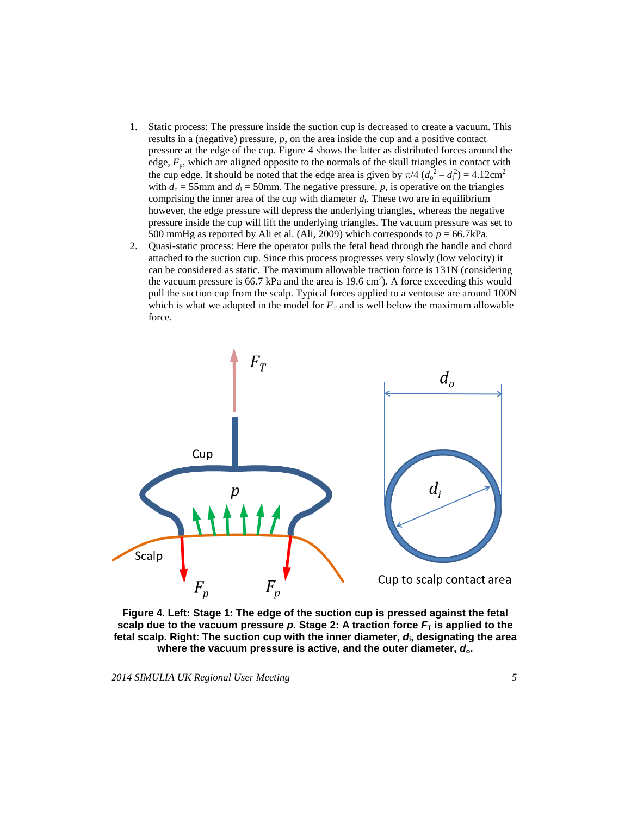- 1. Static process: The pressure inside the suction cup is decreased to create a vacuum. This results in a (negative) pressure, *p*, on the area inside the cup and a positive contact pressure at the edge of the cup. Figure 4 shows the latter as distributed forces around the edge,  $F_p$ , which are aligned opposite to the normals of the skull triangles in contact with the cup edge. It should be noted that the edge area is given by  $\pi/4 (d_0^2 - d_i^2) = 4.12 \text{cm}^2$ with  $d_0 = 55$ mm and  $d_1 = 50$ mm. The negative pressure, p, is operative on the triangles comprising the inner area of the cup with diameter  $d_i$ . These two are in equilibrium however, the edge pressure will depress the underlying triangles, whereas the negative pressure inside the cup will lift the underlying triangles. The vacuum pressure was set to 500 mmHg as reported by Ali et al. (Ali, 2009) which corresponds to  $p = 66.7 \text{kPa}$ .
- 2. Quasi-static process: Here the operator pulls the fetal head through the handle and chord attached to the suction cup. Since this process progresses very slowly (low velocity) it can be considered as static. The maximum allowable traction force is 131N (considering the vacuum pressure is 66.7 kPa and the area is 19.6 cm<sup>2</sup>). A force exceeding this would pull the suction cup from the scalp. Typical forces applied to a ventouse are around 100N which is what we adopted in the model for  $F<sub>T</sub>$  and is well below the maximum allowable force.



**Figure 4. Left: Stage 1: The edge of the suction cup is pressed against the fetal scalp due to the vacuum pressure p. Stage 2: A traction force**  $F<sub>T</sub>$  **is applied to the fetal scalp. Right: The suction cup with the inner diameter,** *d***<sup>i</sup> , designating the area where the vacuum pressure is active, and the outer diameter,** *d***o.**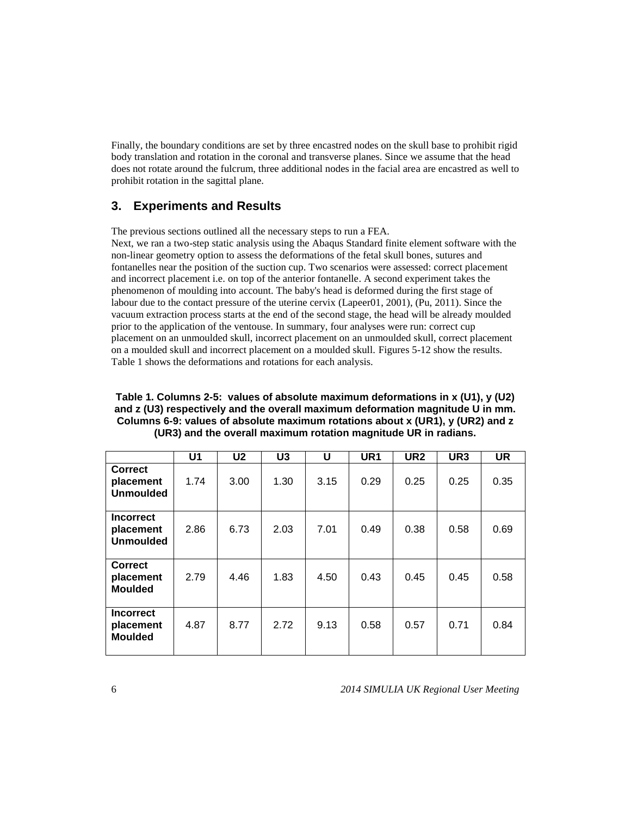Finally, the boundary conditions are set by three encastred nodes on the skull base to prohibit rigid body translation and rotation in the coronal and transverse planes. Since we assume that the head does not rotate around the fulcrum, three additional nodes in the facial area are encastred as well to prohibit rotation in the sagittal plane.

# **3. Experiments and Results**

The previous sections outlined all the necessary steps to run a FEA.

Next, we ran a two-step static analysis using the Abaqus Standard finite element software with the non-linear geometry option to assess the deformations of the fetal skull bones, sutures and fontanelles near the position of the suction cup. Two scenarios were assessed: correct placement and incorrect placement i.e. on top of the anterior fontanelle. A second experiment takes the phenomenon of moulding into account. The baby's head is deformed during the first stage of labour due to the contact pressure of the uterine cervix (Lapeer01, 2001), (Pu, 2011). Since the vacuum extraction process starts at the end of the second stage, the head will be already moulded prior to the application of the ventouse. In summary, four analyses were run: correct cup placement on an unmoulded skull, incorrect placement on an unmoulded skull, correct placement on a moulded skull and incorrect placement on a moulded skull. Figures 5-12 show the results. Table 1 shows the deformations and rotations for each analysis.

#### **Table 1. Columns 2-5: values of absolute maximum deformations in x (U1), y (U2) and z (U3) respectively and the overall maximum deformation magnitude U in mm. Columns 6-9: values of absolute maximum rotations about x (UR1), y (UR2) and z (UR3) and the overall maximum rotation magnitude UR in radians.**

|                                                   | U <sub>1</sub> | U <sub>2</sub> | U <sub>3</sub> | U    | UR <sub>1</sub> | UR <sub>2</sub> | UR <sub>3</sub> | <b>UR</b> |
|---------------------------------------------------|----------------|----------------|----------------|------|-----------------|-----------------|-----------------|-----------|
| <b>Correct</b><br>placement<br><b>Unmoulded</b>   | 1.74           | 3.00           | 1.30           | 3.15 | 0.29            | 0.25            | 0.25            | 0.35      |
| <b>Incorrect</b><br>placement<br><b>Unmoulded</b> | 2.86           | 6.73           | 2.03           | 7.01 | 0.49            | 0.38            | 0.58            | 0.69      |
| <b>Correct</b><br>placement<br><b>Moulded</b>     | 2.79           | 4.46           | 1.83           | 4.50 | 0.43            | 0.45            | 0.45            | 0.58      |
| <b>Incorrect</b><br>placement<br><b>Moulded</b>   | 4.87           | 8.77           | 2.72           | 9.13 | 0.58            | 0.57            | 0.71            | 0.84      |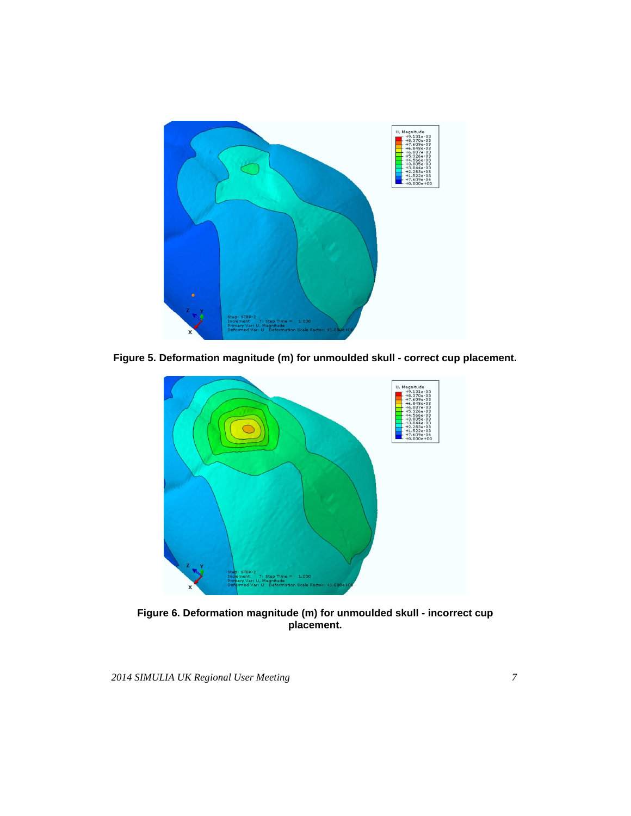

**Figure 5. Deformation magnitude (m) for unmoulded skull - correct cup placement.**



**Figure 6. Deformation magnitude (m) for unmoulded skull - incorrect cup placement.**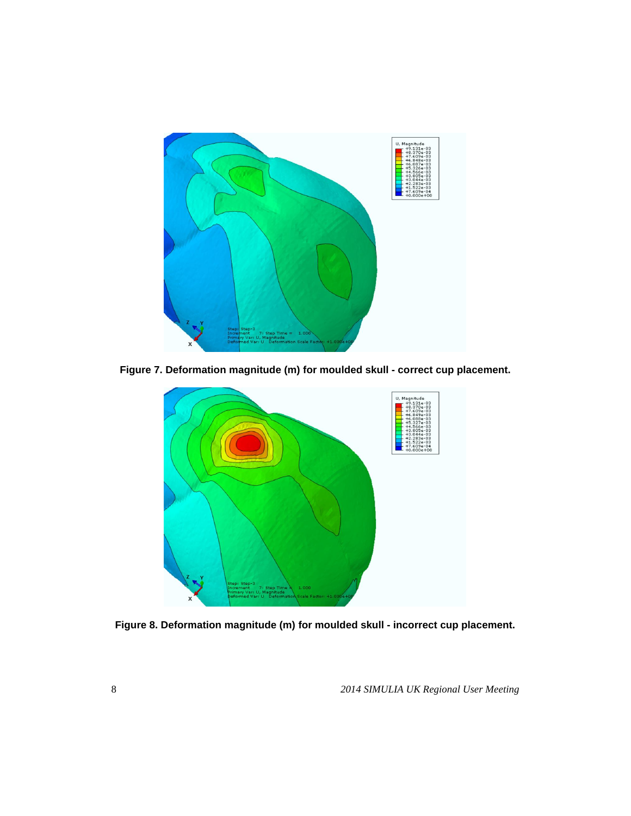

**Figure 7. Deformation magnitude (m) for moulded skull - correct cup placement.**



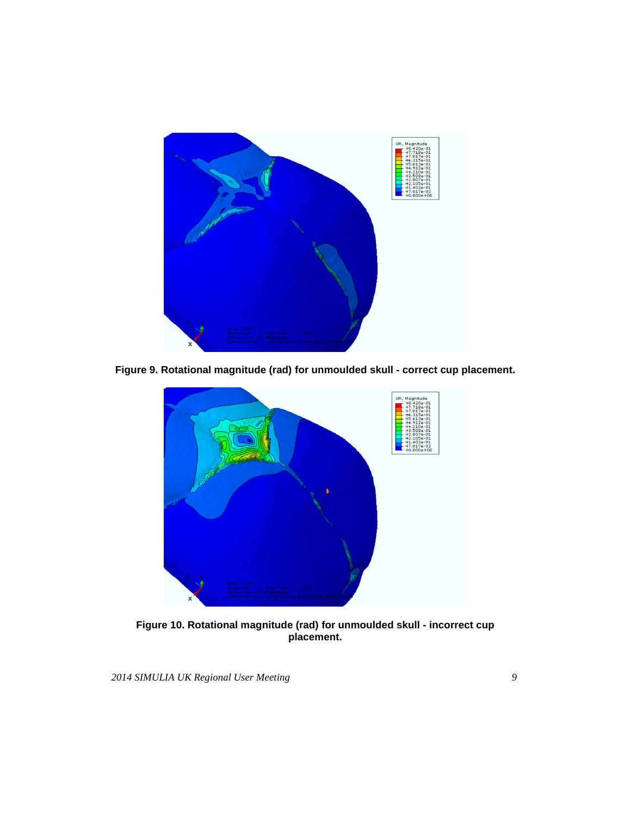

**Figure 9. Rotational magnitude (rad) for unmoulded skull - correct cup placement.**



**Figure 10. Rotational magnitude (rad) for unmoulded skull - incorrect cup placement.**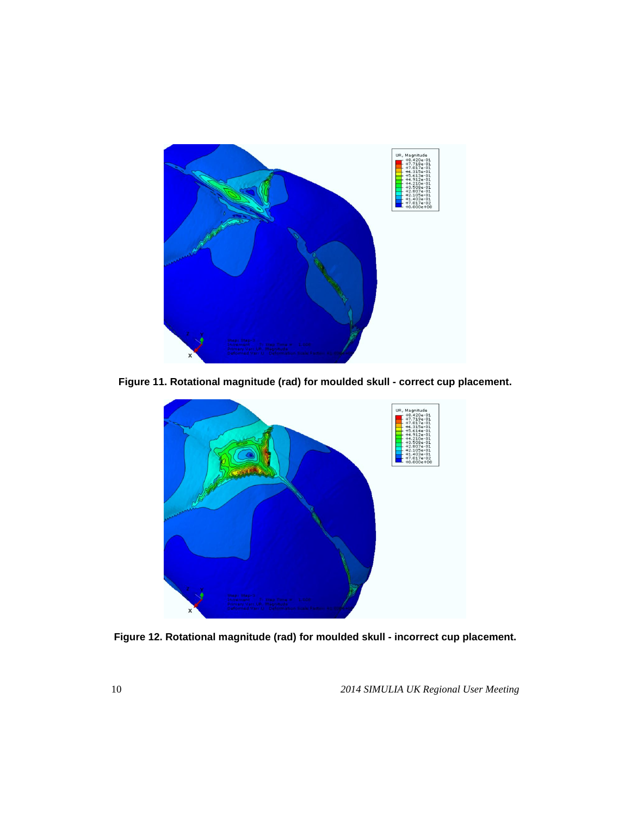

**Figure 11. Rotational magnitude (rad) for moulded skull - correct cup placement.**



**Figure 12. Rotational magnitude (rad) for moulded skull - incorrect cup placement.**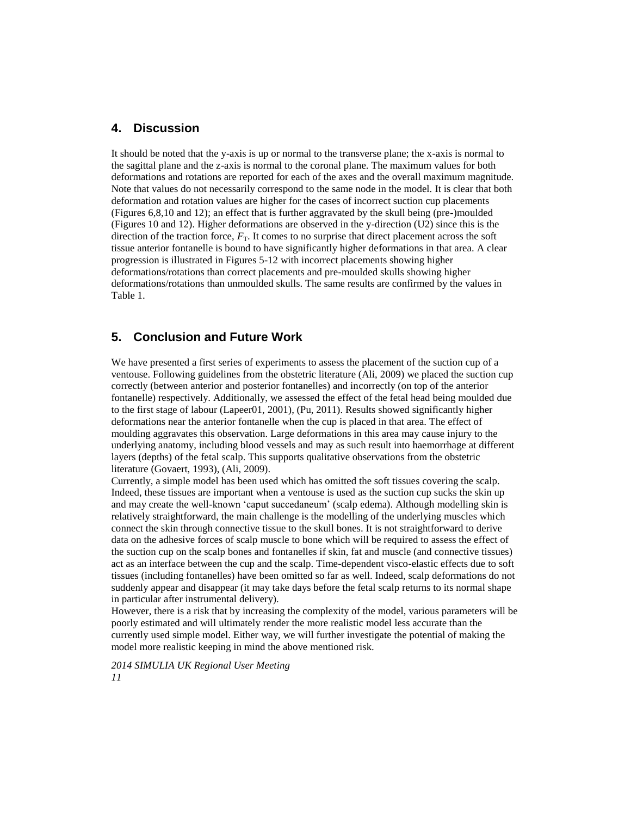#### **4. Discussion**

It should be noted that the y-axis is up or normal to the transverse plane; the x-axis is normal to the sagittal plane and the z-axis is normal to the coronal plane. The maximum values for both deformations and rotations are reported for each of the axes and the overall maximum magnitude. Note that values do not necessarily correspond to the same node in the model. It is clear that both deformation and rotation values are higher for the cases of incorrect suction cup placements (Figures 6,8,10 and 12); an effect that is further aggravated by the skull being (pre-)moulded (Figures 10 and 12). Higher deformations are observed in the y-direction (U2) since this is the direction of the traction force,  $F<sub>T</sub>$ . It comes to no surprise that direct placement across the soft tissue anterior fontanelle is bound to have significantly higher deformations in that area. A clear progression is illustrated in Figures 5-12 with incorrect placements showing higher deformations/rotations than correct placements and pre-moulded skulls showing higher deformations/rotations than unmoulded skulls. The same results are confirmed by the values in Table 1.

# **5. Conclusion and Future Work**

We have presented a first series of experiments to assess the placement of the suction cup of a ventouse. Following guidelines from the obstetric literature (Ali, 2009) we placed the suction cup correctly (between anterior and posterior fontanelles) and incorrectly (on top of the anterior fontanelle) respectively. Additionally, we assessed the effect of the fetal head being moulded due to the first stage of labour (Lapeer01, 2001), (Pu, 2011). Results showed significantly higher deformations near the anterior fontanelle when the cup is placed in that area. The effect of moulding aggravates this observation. Large deformations in this area may cause injury to the underlying anatomy, including blood vessels and may as such result into haemorrhage at different layers (depths) of the fetal scalp. This supports qualitative observations from the obstetric literature (Govaert, 1993), (Ali, 2009).

Currently, a simple model has been used which has omitted the soft tissues covering the scalp. Indeed, these tissues are important when a ventouse is used as the suction cup sucks the skin up and may create the well-known 'caput succedaneum' (scalp edema). Although modelling skin is relatively straightforward, the main challenge is the modelling of the underlying muscles which connect the skin through connective tissue to the skull bones. It is not straightforward to derive data on the adhesive forces of scalp muscle to bone which will be required to assess the effect of the suction cup on the scalp bones and fontanelles if skin, fat and muscle (and connective tissues) act as an interface between the cup and the scalp. Time-dependent visco-elastic effects due to soft tissues (including fontanelles) have been omitted so far as well. Indeed, scalp deformations do not suddenly appear and disappear (it may take days before the fetal scalp returns to its normal shape in particular after instrumental delivery).

However, there is a risk that by increasing the complexity of the model, various parameters will be poorly estimated and will ultimately render the more realistic model less accurate than the currently used simple model. Either way, we will further investigate the potential of making the model more realistic keeping in mind the above mentioned risk.